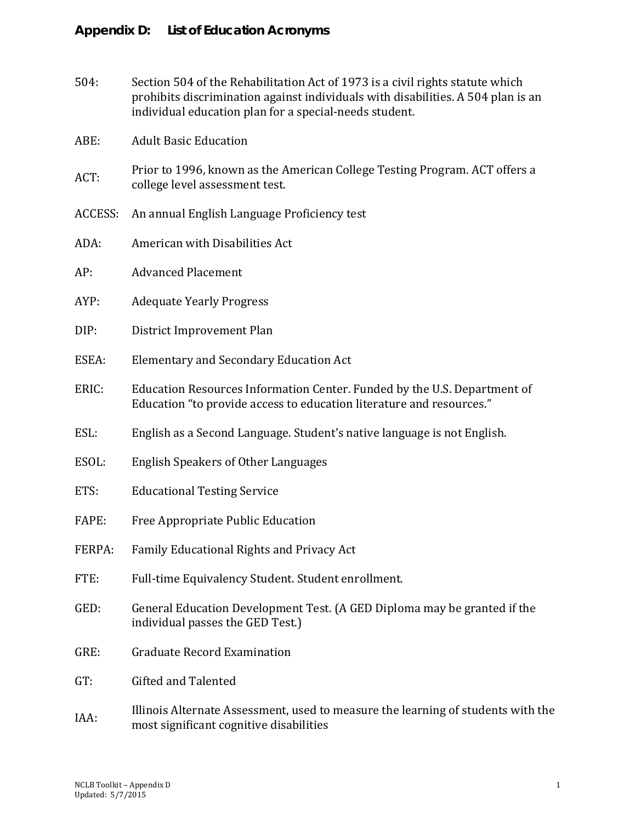| 504:    | Section 504 of the Rehabilitation Act of 1973 is a civil rights statute which<br>prohibits discrimination against individuals with disabilities. A 504 plan is an<br>individual education plan for a special-needs student. |
|---------|-----------------------------------------------------------------------------------------------------------------------------------------------------------------------------------------------------------------------------|
| ABE:    | <b>Adult Basic Education</b>                                                                                                                                                                                                |
| ACT:    | Prior to 1996, known as the American College Testing Program. ACT offers a<br>college level assessment test.                                                                                                                |
| ACCESS: | An annual English Language Proficiency test                                                                                                                                                                                 |
| ADA:    | American with Disabilities Act                                                                                                                                                                                              |
| AP:     | <b>Advanced Placement</b>                                                                                                                                                                                                   |
| AYP:    | <b>Adequate Yearly Progress</b>                                                                                                                                                                                             |
| DIP:    | District Improvement Plan                                                                                                                                                                                                   |
| ESEA:   | <b>Elementary and Secondary Education Act</b>                                                                                                                                                                               |
| ERIC:   | Education Resources Information Center. Funded by the U.S. Department of<br>Education "to provide access to education literature and resources."                                                                            |
| ESL:    | English as a Second Language. Student's native language is not English.                                                                                                                                                     |
| ESOL:   | <b>English Speakers of Other Languages</b>                                                                                                                                                                                  |
| ETS:    | <b>Educational Testing Service</b>                                                                                                                                                                                          |
| FAPE:   | Free Appropriate Public Education                                                                                                                                                                                           |
| FERPA:  | Family Educational Rights and Privacy Act                                                                                                                                                                                   |
| FTE:    | Full-time Equivalency Student. Student enrollment.                                                                                                                                                                          |
| GED:    | General Education Development Test. (A GED Diploma may be granted if the<br>individual passes the GED Test.)                                                                                                                |
| GRE:    | <b>Graduate Record Examination</b>                                                                                                                                                                                          |
| GT:     | Gifted and Talented                                                                                                                                                                                                         |
| IAA:    | Illinois Alternate Assessment, used to measure the learning of students with the<br>most significant cognitive disabilities                                                                                                 |